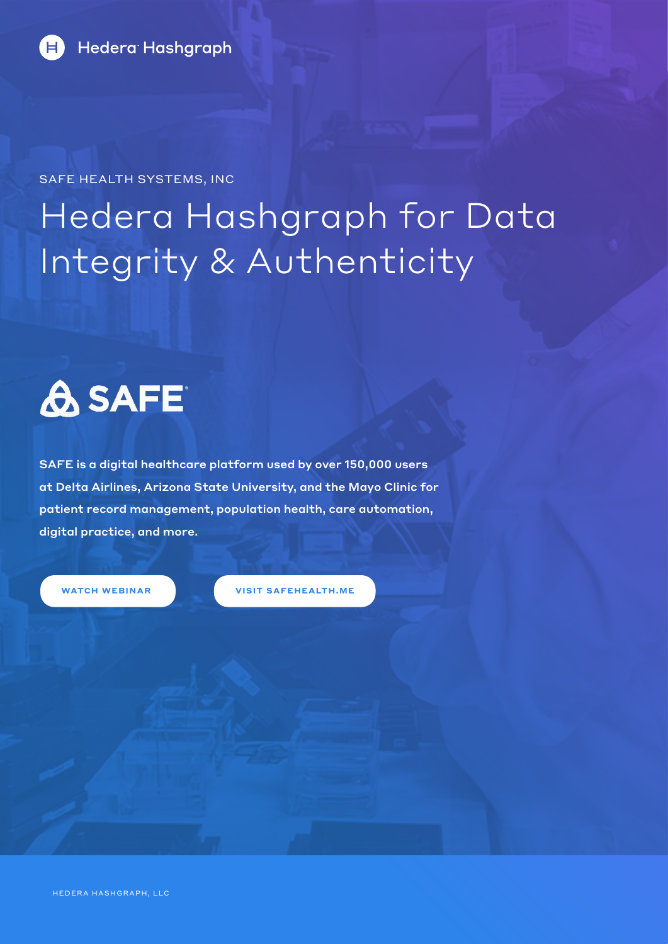

SAFE HEALTH SYSTEMS, INC

## Hedera Hashgraph for Data Integrity & Authenticity

# **A SAFE**

SAFE is a digital healthcare platform used by over 150,000 users at Delta Airlines, Arizona State University, and the Mayo Clinic for patient record management, population health, care automation, digital practice, and more.

**[WATCH WEBINAR](https://www.youtube.com/watch?v=J0rqogp-TzA) [VISIT SAFEHEALTH.ME](https://safehealth.me/)**

HEDERA HASHGRAPH, LLC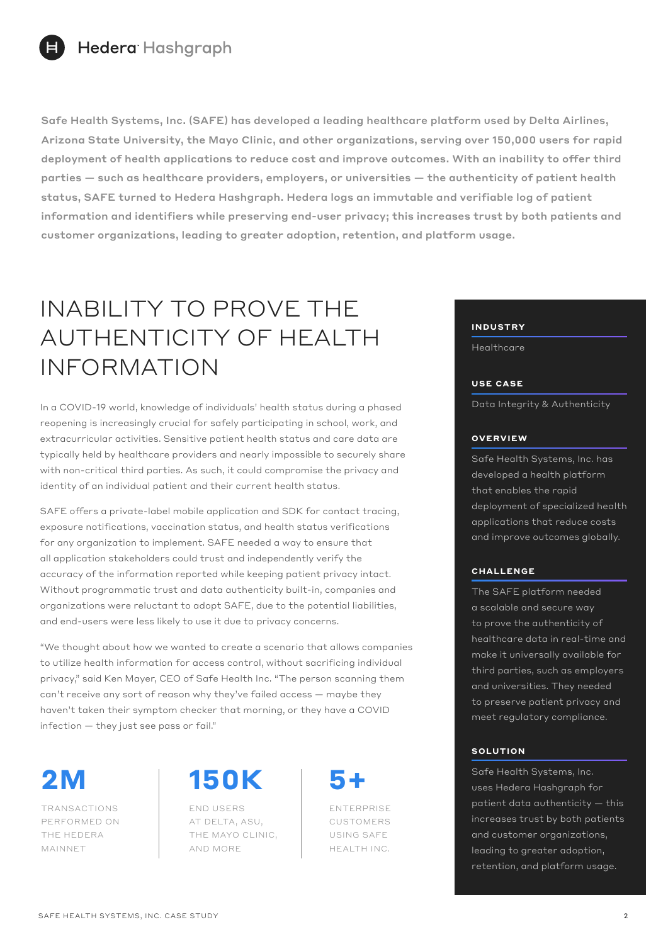

Safe Health Systems, Inc. (SAFE) has developed a leading healthcare platform used by Delta Airlines, Arizona State University, the Mayo Clinic, and other organizations, serving over 150,000 users for rapid deployment of health applications to reduce cost and improve outcomes. With an inability to offer third parties — such as healthcare providers, employers, or universities — the authenticity of patient health status, SAFE turned to Hedera Hashgraph. Hedera logs an immutable and verifiable log of patient information and identifiers while preserving end-user privacy; this increases trust by both patients and customer organizations, leading to greater adoption, retention, and platform usage.

### INABILITY TO PROVE THE AUTHENTICITY OF HEALTH INFORMATION

In a COVID-19 world, knowledge of individuals' health status during a phased reopening is increasingly crucial for safely participating in school, work, and extracurricular activities. Sensitive patient health status and care data are typically held by healthcare providers and nearly impossible to securely share with non-critical third parties. As such, it could compromise the privacy and identity of an individual patient and their current health status.

SAFE offers a private-label mobile application and SDK for contact tracing, exposure notifications, vaccination status, and health status verifications for any organization to implement. SAFE needed a way to ensure that all application stakeholders could trust and independently verify the accuracy of the information reported while keeping patient privacy intact. Without programmatic trust and data authenticity built-in, companies and organizations were reluctant to adopt SAFE, due to the potential liabilities, and end-users were less likely to use it due to privacy concerns.

"We thought about how we wanted to create a scenario that allows companies to utilize health information for access control, without sacrificing individual privacy," said Ken Mayer, CEO of Safe Health Inc. "The person scanning them can't receive any sort of reason why they've failed access — maybe they haven't taken their symptom checker that morning, or they have a COVID infection — they just see pass or fail."

TRANSACTIONS PERFORMED ON THE HEDERA MAINNET

**2M 150K** 

END USERS AT DELTA, ASU, THE MAYO CLINIC, AND MORE

ENTERPRISE CUSTOMERS USING SAFE HEALTH INC. **INDUSTRY**

**Healthcare** 

#### **USE CASE**

Data Integrity & Authenticity

#### **OVERVIEW**

Safe Health Systems, Inc. has developed a health platform that enables the rapid deployment of specialized health applications that reduce costs and improve outcomes globally.

### **CHALLENGE**

The SAFE platform needed a scalable and secure way to prove the authenticity of healthcare data in real-time and make it universally available for third parties, such as employers and universities. They needed to preserve patient privacy and meet regulatory compliance.

#### **SOLUTION**

Safe Health Systems, Inc. uses Hedera Hashgraph for patient data authenticity — this increases trust by both patients and customer organizations, leading to greater adoption, retention, and platform usage.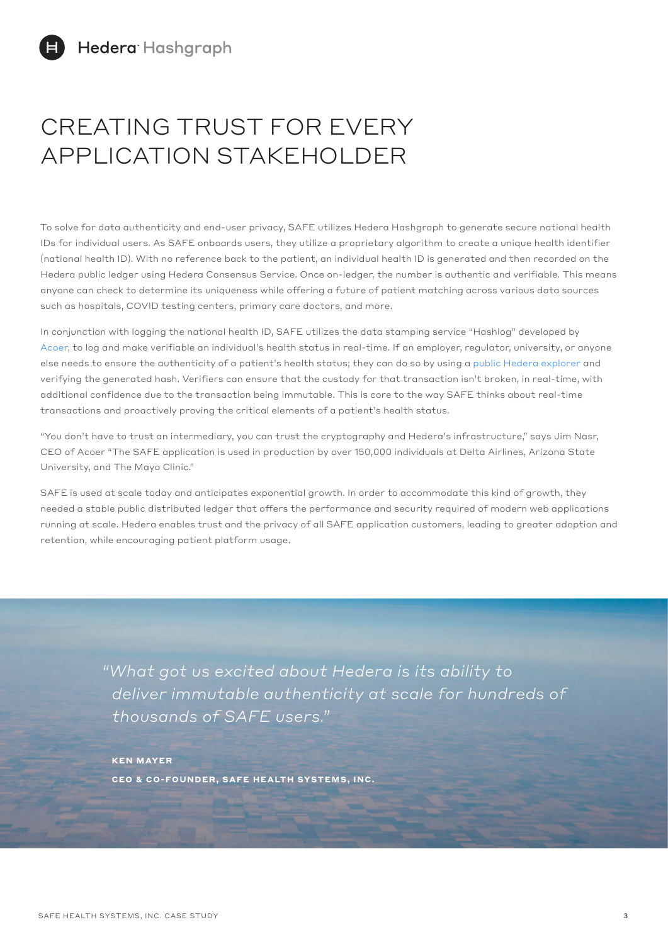## CREATING TRUST FOR EVERY APPLICATION STAKEHOLDER

To solve for data authenticity and end-user privacy, SAFE utilizes Hedera Hashgraph to generate secure national health IDs for individual users. As SAFE onboards users, they utilize a proprietary algorithm to create a unique health identifier (national health ID). With no reference back to the patient, an individual health ID is generated and then recorded on the Hedera public ledger using Hedera Consensus Service. Once on-ledger, the number is authentic and verifiable. This means anyone can check to determine its uniqueness while offering a future of patient matching across various data sources such as hospitals, COVID testing centers, primary care doctors, and more.

In conjunction with logging the national health ID, SAFE utilizes the data stamping service "Hashlog" developed by [Acoer](https://www.acoer.com/), to log and make verifiable an individual's health status in real-time. If an employer, regulator, university, or anyone else needs to ensure the authenticity of a patient's health status; they can do so by using a [public Hedera explorer](https://www.hedera.com/explorers) and verifying the generated hash. Verifiers can ensure that the custody for that transaction isn't broken, in real-time, with additional confidence due to the transaction being immutable. This is core to the way SAFE thinks about real-time transactions and proactively proving the critical elements of a patient's health status.

"You don't have to trust an intermediary, you can trust the cryptography and Hedera's infrastructure," says Jim Nasr, CEO of Acoer "The SAFE application is used in production by over 150,000 individuals at Delta Airlines, Arizona State University, and The Mayo Clinic."

SAFE is used at scale today and anticipates exponential growth. In order to accommodate this kind of growth, they needed a stable public distributed ledger that offers the performance and security required of modern web applications running at scale. Hedera enables trust and the privacy of all SAFE application customers, leading to greater adoption and retention, while encouraging patient platform usage.

> *"What got us excited about Hedera is its ability to deliver immutable authenticity at scale for hundreds of thousands of SAFE users."*

**KEN MAYER CEO & CO-FOUNDER, SAFE HEALTH SYSTEMS, INC.**